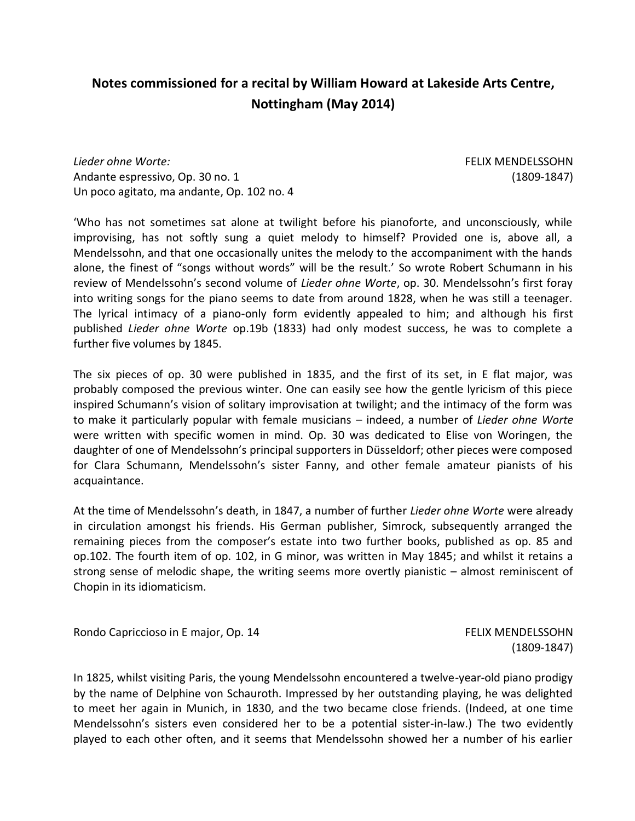## **Notes commissioned for a recital by William Howard at Lakeside Arts Centre, Nottingham (May 2014)**

*Lieder ohne Worte:* Andante espressivo, Op. 30 no. 1 Un poco agitato, ma andante, Op. 102 no. 4 FELIX MENDELSSOHN (1809-1847)

'Who has not sometimes sat alone at twilight before his pianoforte, and unconsciously, while improvising, has not softly sung a quiet melody to himself? Provided one is, above all, a Mendelssohn, and that one occasionally unites the melody to the accompaniment with the hands alone, the finest of "songs without words" will be the result.' So wrote Robert Schumann in his review of Mendelssohn's second volume of *Lieder ohne Worte*, op. 30. Mendelssohn's first foray into writing songs for the piano seems to date from around 1828, when he was still a teenager. The lyrical intimacy of a piano-only form evidently appealed to him; and although his first published *Lieder ohne Worte* op.19b (1833) had only modest success, he was to complete a further five volumes by 1845.

The six pieces of op. 30 were published in 1835, and the first of its set, in E flat major, was probably composed the previous winter. One can easily see how the gentle lyricism of this piece inspired Schumann's vision of solitary improvisation at twilight; and the intimacy of the form was to make it particularly popular with female musicians – indeed, a number of *Lieder ohne Worte* were written with specific women in mind. Op. 30 was dedicated to Elise von Woringen, the daughter of one of Mendelssohn's principal supporters in Düsseldorf; other pieces were composed for Clara Schumann, Mendelssohn's sister Fanny, and other female amateur pianists of his acquaintance.

At the time of Mendelssohn's death, in 1847, a number of further *Lieder ohne Worte* were already in circulation amongst his friends. His German publisher, Simrock, subsequently arranged the remaining pieces from the composer's estate into two further books, published as op. 85 and op.102. The fourth item of op. 102, in G minor, was written in May 1845; and whilst it retains a strong sense of melodic shape, the writing seems more overtly pianistic – almost reminiscent of Chopin in its idiomaticism.

Rondo Capriccioso in E major, Op. 14 FELIX MENDELSSOHN

(1809-1847)

In 1825, whilst visiting Paris, the young Mendelssohn encountered a twelve-year-old piano prodigy by the name of Delphine von Schauroth. Impressed by her outstanding playing, he was delighted to meet her again in Munich, in 1830, and the two became close friends. (Indeed, at one time Mendelssohn's sisters even considered her to be a potential sister-in-law.) The two evidently played to each other often, and it seems that Mendelssohn showed her a number of his earlier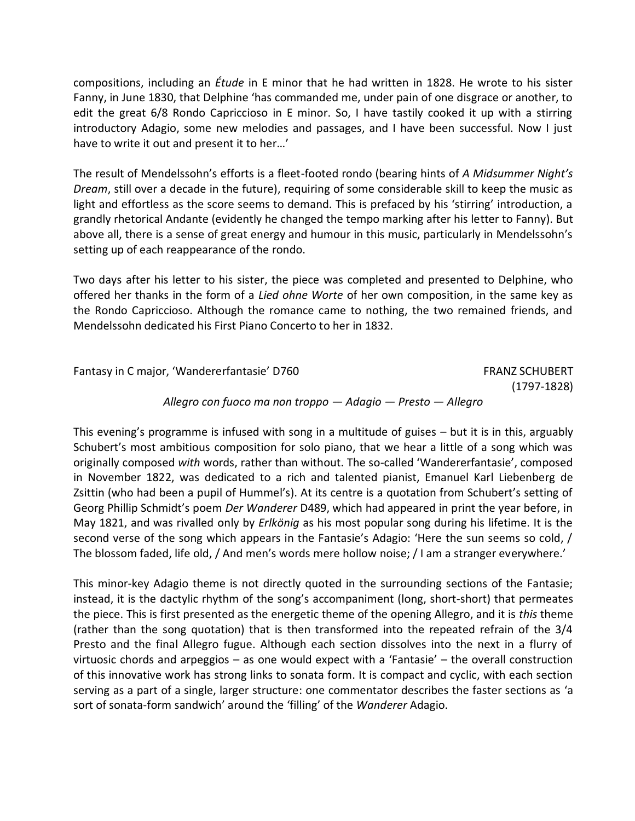compositions, including an *Étude* in E minor that he had written in 1828. He wrote to his sister Fanny, in June 1830, that Delphine 'has commanded me, under pain of one disgrace or another, to edit the great 6/8 Rondo Capriccioso in E minor. So, I have tastily cooked it up with a stirring introductory Adagio, some new melodies and passages, and I have been successful. Now I just have to write it out and present it to her…'

The result of Mendelssohn's efforts is a fleet-footed rondo (bearing hints of *A Midsummer Night's Dream*, still over a decade in the future), requiring of some considerable skill to keep the music as light and effortless as the score seems to demand. This is prefaced by his 'stirring' introduction, a grandly rhetorical Andante (evidently he changed the tempo marking after his letter to Fanny). But above all, there is a sense of great energy and humour in this music, particularly in Mendelssohn's setting up of each reappearance of the rondo.

Two days after his letter to his sister, the piece was completed and presented to Delphine, who offered her thanks in the form of a *Lied ohne Worte* of her own composition, in the same key as the Rondo Capriccioso. Although the romance came to nothing, the two remained friends, and Mendelssohn dedicated his First Piano Concerto to her in 1832.

Fantasy in C major, 'Wandererfantasie' D760 FRANZ SCHUBERT (1797-1828) *Allegro con fuoco ma non troppo — Adagio — Presto — Allegro*

This evening's programme is infused with song in a multitude of guises – but it is in this, arguably Schubert's most ambitious composition for solo piano, that we hear a little of a song which was originally composed *with* words, rather than without. The so-called 'Wandererfantasie', composed in November 1822, was dedicated to a rich and talented pianist, Emanuel Karl Liebenberg de Zsittin (who had been a pupil of Hummel's). At its centre is a quotation from Schubert's setting of Georg Phillip Schmidt's poem *Der Wanderer* D489, which had appeared in print the year before, in May 1821, and was rivalled only by *Erlkönig* as his most popular song during his lifetime. It is the second verse of the song which appears in the Fantasie's Adagio: 'Here the sun seems so cold, / The blossom faded, life old, / And men's words mere hollow noise; / I am a stranger everywhere.'

This minor-key Adagio theme is not directly quoted in the surrounding sections of the Fantasie; instead, it is the dactylic rhythm of the song's accompaniment (long, short-short) that permeates the piece. This is first presented as the energetic theme of the opening Allegro, and it is *this* theme (rather than the song quotation) that is then transformed into the repeated refrain of the 3/4 Presto and the final Allegro fugue. Although each section dissolves into the next in a flurry of virtuosic chords and arpeggios – as one would expect with a 'Fantasie' – the overall construction of this innovative work has strong links to sonata form. It is compact and cyclic, with each section serving as a part of a single, larger structure: one commentator describes the faster sections as 'a sort of sonata-form sandwich' around the 'filling' of the *Wanderer* Adagio.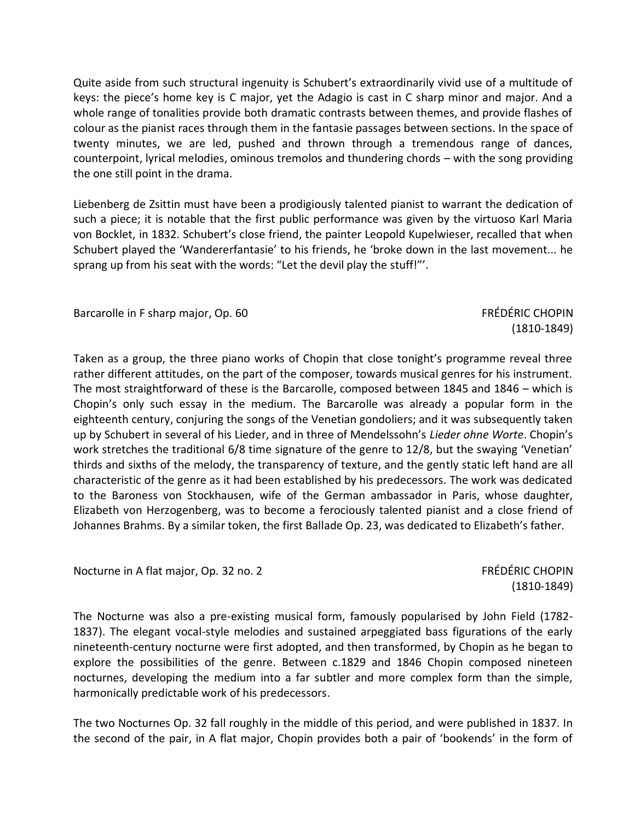Quite aside from such structural ingenuity is Schubert's extraordinarily vivid use of a multitude of keys: the piece's home key is C major, yet the Adagio is cast in C sharp minor and major. And a whole range of tonalities provide both dramatic contrasts between themes, and provide flashes of colour as the pianist races through them in the fantasie passages between sections. In the space of twenty minutes, we are led, pushed and thrown through a tremendous range of dances, counterpoint, lyrical melodies, ominous tremolos and thundering chords – with the song providing the one still point in the drama.

Liebenberg de Zsittin must have been a prodigiously talented pianist to warrant the dedication of such a piece; it is notable that the first public performance was given by the virtuoso Karl Maria von Bocklet, in 1832. Schubert's close friend, the painter Leopold Kupelwieser, recalled that when Schubert played the 'Wandererfantasie' to his friends, he 'broke down in the last movement... he sprang up from his seat with the words: "Let the devil play the stuff!"'.

Barcarolle in F sharp major, Op. 60 FRÉDÉRIC CHOPIN

(1810-1849)

Taken as a group, the three piano works of Chopin that close tonight's programme reveal three rather different attitudes, on the part of the composer, towards musical genres for his instrument. The most straightforward of these is the Barcarolle, composed between 1845 and 1846 – which is Chopin's only such essay in the medium. The Barcarolle was already a popular form in the eighteenth century, conjuring the songs of the Venetian gondoliers; and it was subsequently taken up by Schubert in several of his Lieder, and in three of Mendelssohn's *Lieder ohne Worte*. Chopin's work stretches the traditional 6/8 time signature of the genre to 12/8, but the swaying 'Venetian' thirds and sixths of the melody, the transparency of texture, and the gently static left hand are all characteristic of the genre as it had been established by his predecessors. The work was dedicated to the Baroness von Stockhausen, wife of the German ambassador in Paris, whose daughter, Elizabeth von Herzogenberg, was to become a ferociously talented pianist and a close friend of Johannes Brahms. By a similar token, the first Ballade Op. 23, was dedicated to Elizabeth's father.

Nocturne in A flat major, Op. 32 no. 2 FRÉDÉRIC CHOPIN

(1810-1849)

The Nocturne was also a pre-existing musical form, famously popularised by John Field (1782- 1837). The elegant vocal-style melodies and sustained arpeggiated bass figurations of the early nineteenth-century nocturne were first adopted, and then transformed, by Chopin as he began to explore the possibilities of the genre. Between c.1829 and 1846 Chopin composed nineteen nocturnes, developing the medium into a far subtler and more complex form than the simple, harmonically predictable work of his predecessors.

The two Nocturnes Op. 32 fall roughly in the middle of this period, and were published in 1837. In the second of the pair, in A flat major, Chopin provides both a pair of 'bookends' in the form of